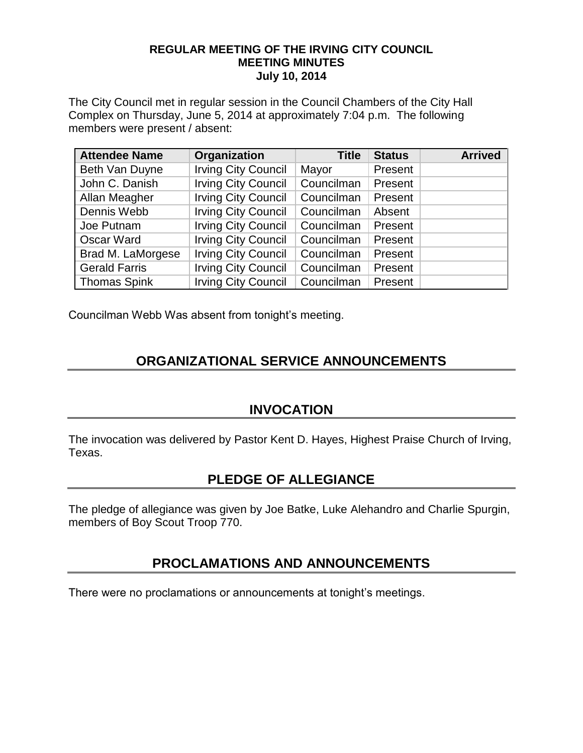#### **REGULAR MEETING OF THE IRVING CITY COUNCIL MEETING MINUTES July 10, 2014**

The City Council met in regular session in the Council Chambers of the City Hall Complex on Thursday, June 5, 2014 at approximately 7:04 p.m. The following members were present / absent:

| <b>Attendee Name</b> | Organization               | <b>Title</b> | <b>Status</b> | <b>Arrived</b> |
|----------------------|----------------------------|--------------|---------------|----------------|
| Beth Van Duyne       | <b>Irving City Council</b> | Mayor        | Present       |                |
| John C. Danish       | <b>Irving City Council</b> | Councilman   | Present       |                |
| Allan Meagher        | <b>Irving City Council</b> | Councilman   | Present       |                |
| Dennis Webb          | <b>Irving City Council</b> | Councilman   | Absent        |                |
| Joe Putnam           | <b>Irving City Council</b> | Councilman   | Present       |                |
| Oscar Ward           | <b>Irving City Council</b> | Councilman   | Present       |                |
| Brad M. LaMorgese    | <b>Irving City Council</b> | Councilman   | Present       |                |
| <b>Gerald Farris</b> | <b>Irving City Council</b> | Councilman   | Present       |                |
| <b>Thomas Spink</b>  | <b>Irving City Council</b> | Councilman   | Present       |                |

Councilman Webb Was absent from tonight's meeting.

# **ORGANIZATIONAL SERVICE ANNOUNCEMENTS**

### **INVOCATION**

The invocation was delivered by Pastor Kent D. Hayes, Highest Praise Church of Irving, Texas.

## **PLEDGE OF ALLEGIANCE**

The pledge of allegiance was given by Joe Batke, Luke Alehandro and Charlie Spurgin, members of Boy Scout Troop 770.

## **PROCLAMATIONS AND ANNOUNCEMENTS**

There were no proclamations or announcements at tonight's meetings.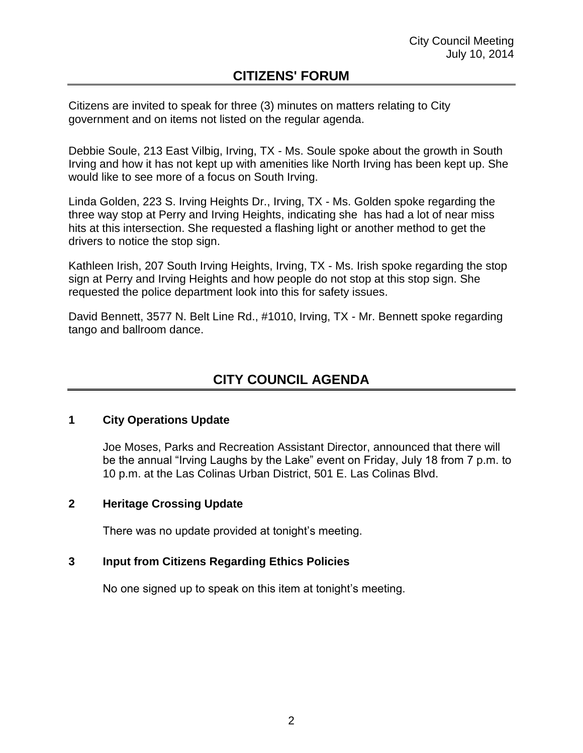### **CITIZENS' FORUM**

Citizens are invited to speak for three (3) minutes on matters relating to City government and on items not listed on the regular agenda.

Debbie Soule, 213 East Vilbig, Irving, TX - Ms. Soule spoke about the growth in South Irving and how it has not kept up with amenities like North Irving has been kept up. She would like to see more of a focus on South Irving.

Linda Golden, 223 S. Irving Heights Dr., Irving, TX - Ms. Golden spoke regarding the three way stop at Perry and Irving Heights, indicating she has had a lot of near miss hits at this intersection. She requested a flashing light or another method to get the drivers to notice the stop sign.

Kathleen Irish, 207 South Irving Heights, Irving, TX - Ms. Irish spoke regarding the stop sign at Perry and Irving Heights and how people do not stop at this stop sign. She requested the police department look into this for safety issues.

David Bennett, 3577 N. Belt Line Rd., #1010, Irving, TX - Mr. Bennett spoke regarding tango and ballroom dance.

# **CITY COUNCIL AGENDA**

#### **1 City Operations Update**

Joe Moses, Parks and Recreation Assistant Director, announced that there will be the annual "Irving Laughs by the Lake" event on Friday, July 18 from 7 p.m. to 10 p.m. at the Las Colinas Urban District, 501 E. Las Colinas Blvd.

#### **2 Heritage Crossing Update**

There was no update provided at tonight's meeting.

#### **3 Input from Citizens Regarding Ethics Policies**

No one signed up to speak on this item at tonight's meeting.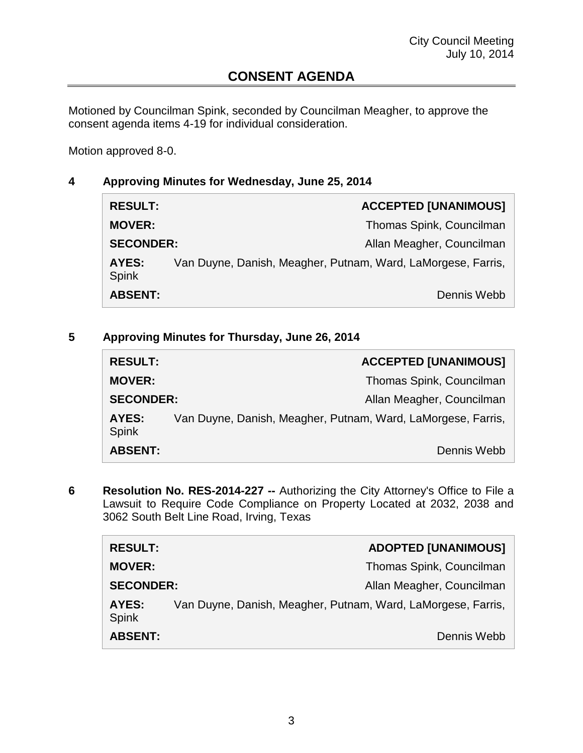## **CONSENT AGENDA**

Motioned by Councilman Spink, seconded by Councilman Meagher, to approve the consent agenda items 4-19 for individual consideration.

Motion approved 8-0.

#### **4 Approving Minutes for Wednesday, June 25, 2014**

| <b>RESULT:</b>        |                                                              | <b>ACCEPTED [UNANIMOUS]</b> |
|-----------------------|--------------------------------------------------------------|-----------------------------|
| <b>MOVER:</b>         |                                                              | Thomas Spink, Councilman    |
| <b>SECONDER:</b>      |                                                              | Allan Meagher, Councilman   |
| AYES:<br><b>Spink</b> | Van Duyne, Danish, Meagher, Putnam, Ward, LaMorgese, Farris, |                             |
| <b>ABSENT:</b>        |                                                              | Dennis Webb                 |

### **5 Approving Minutes for Thursday, June 26, 2014**

| <b>RESULT:</b>   |                                                              | <b>ACCEPTED [UNANIMOUS]</b> |
|------------------|--------------------------------------------------------------|-----------------------------|
| <b>MOVER:</b>    |                                                              | Thomas Spink, Councilman    |
| <b>SECONDER:</b> |                                                              | Allan Meagher, Councilman   |
| AYES:<br>Spink   | Van Duyne, Danish, Meagher, Putnam, Ward, LaMorgese, Farris, |                             |
| <b>ABSENT:</b>   |                                                              | Dennis Webb                 |

**6 Resolution No. RES-2014-227 --** Authorizing the City Attorney's Office to File a Lawsuit to Require Code Compliance on Property Located at 2032, 2038 and 3062 South Belt Line Road, Irving, Texas

| <b>RESULT:</b>        |                                                              | <b>ADOPTED [UNANIMOUS]</b> |
|-----------------------|--------------------------------------------------------------|----------------------------|
| <b>MOVER:</b>         |                                                              | Thomas Spink, Councilman   |
| <b>SECONDER:</b>      |                                                              | Allan Meagher, Councilman  |
| AYES:<br><b>Spink</b> | Van Duyne, Danish, Meagher, Putnam, Ward, LaMorgese, Farris, |                            |
| <b>ABSENT:</b>        |                                                              | Dennis Webb                |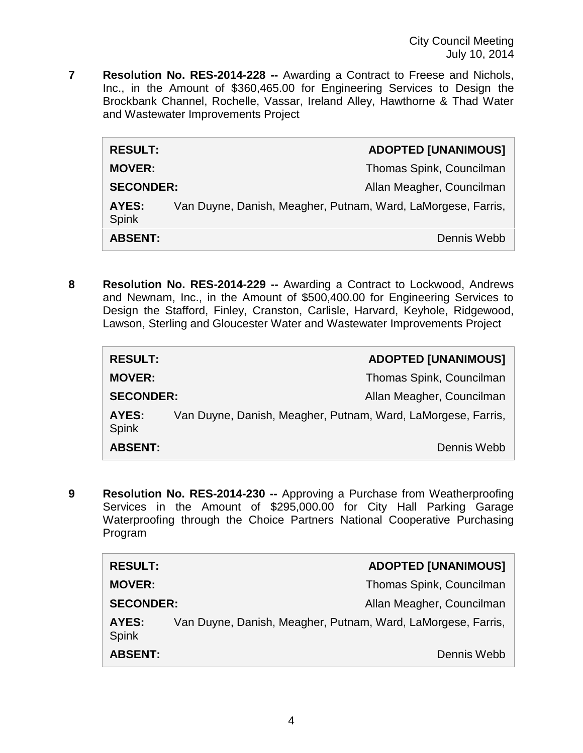**7 Resolution No. RES-2014-228 --** Awarding a Contract to Freese and Nichols, Inc., in the Amount of \$360,465.00 for Engineering Services to Design the Brockbank Channel, Rochelle, Vassar, Ireland Alley, Hawthorne & Thad Water and Wastewater Improvements Project

| <b>RESULT:</b>        |                                                              | <b>ADOPTED [UNANIMOUS]</b> |
|-----------------------|--------------------------------------------------------------|----------------------------|
| <b>MOVER:</b>         |                                                              | Thomas Spink, Councilman   |
| <b>SECONDER:</b>      |                                                              | Allan Meagher, Councilman  |
| AYES:<br><b>Spink</b> | Van Duyne, Danish, Meagher, Putnam, Ward, LaMorgese, Farris, |                            |
| <b>ABSENT:</b>        |                                                              | Dennis Webb                |

**8 Resolution No. RES-2014-229 --** Awarding a Contract to Lockwood, Andrews and Newnam, Inc., in the Amount of \$500,400.00 for Engineering Services to Design the Stafford, Finley, Cranston, Carlisle, Harvard, Keyhole, Ridgewood, Lawson, Sterling and Gloucester Water and Wastewater Improvements Project

| <b>RESULT:</b>        | <b>ADOPTED [UNANIMOUS]</b>                                   |
|-----------------------|--------------------------------------------------------------|
| <b>MOVER:</b>         | Thomas Spink, Councilman                                     |
| <b>SECONDER:</b>      | Allan Meagher, Councilman                                    |
| AYES:<br><b>Spink</b> | Van Duyne, Danish, Meagher, Putnam, Ward, LaMorgese, Farris, |
| <b>ABSENT:</b>        | Dennis Webb                                                  |

**9 Resolution No. RES-2014-230 --** Approving a Purchase from Weatherproofing Services in the Amount of \$295,000.00 for City Hall Parking Garage Waterproofing through the Choice Partners National Cooperative Purchasing Program

| <b>RESULT:</b>        |                                                              | <b>ADOPTED [UNANIMOUS]</b> |
|-----------------------|--------------------------------------------------------------|----------------------------|
| <b>MOVER:</b>         |                                                              | Thomas Spink, Councilman   |
| <b>SECONDER:</b>      |                                                              | Allan Meagher, Councilman  |
| AYES:<br><b>Spink</b> | Van Duyne, Danish, Meagher, Putnam, Ward, LaMorgese, Farris, |                            |
| <b>ABSENT:</b>        |                                                              | Dennis Webb                |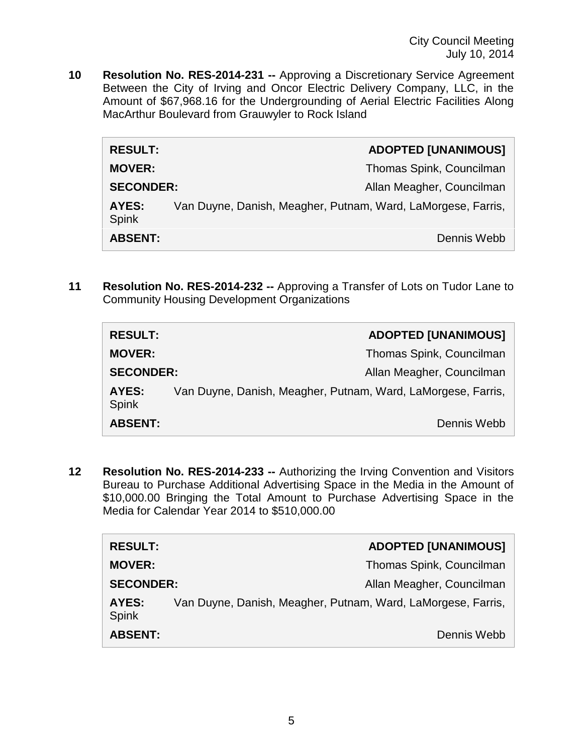City Council Meeting July 10, 2014

**10 Resolution No. RES-2014-231 --** Approving a Discretionary Service Agreement Between the City of Irving and Oncor Electric Delivery Company, LLC, in the Amount of \$67,968.16 for the Undergrounding of Aerial Electric Facilities Along MacArthur Boulevard from Grauwyler to Rock Island

| <b>RESULT:</b>               |                                                              | <b>ADOPTED [UNANIMOUS]</b> |
|------------------------------|--------------------------------------------------------------|----------------------------|
| <b>MOVER:</b>                |                                                              | Thomas Spink, Councilman   |
| <b>SECONDER:</b>             |                                                              | Allan Meagher, Councilman  |
| <b>AYES:</b><br><b>Spink</b> | Van Duyne, Danish, Meagher, Putnam, Ward, LaMorgese, Farris, |                            |
| <b>ABSENT:</b>               |                                                              | Dennis Webb                |

**11 Resolution No. RES-2014-232 --** Approving a Transfer of Lots on Tudor Lane to Community Housing Development Organizations

| <b>RESULT:</b>        | <b>ADOPTED [UNANIMOUS]</b>                                   |
|-----------------------|--------------------------------------------------------------|
| <b>MOVER:</b>         | Thomas Spink, Councilman                                     |
| <b>SECONDER:</b>      | Allan Meagher, Councilman                                    |
| AYES:<br><b>Spink</b> | Van Duyne, Danish, Meagher, Putnam, Ward, LaMorgese, Farris, |
| <b>ABSENT:</b>        | Dennis Webb                                                  |

**12 Resolution No. RES-2014-233 --** Authorizing the Irving Convention and Visitors Bureau to Purchase Additional Advertising Space in the Media in the Amount of \$10,000.00 Bringing the Total Amount to Purchase Advertising Space in the Media for Calendar Year 2014 to \$510,000.00

| <b>RESULT:</b>        |                                                              | <b>ADOPTED [UNANIMOUS]</b> |
|-----------------------|--------------------------------------------------------------|----------------------------|
| <b>MOVER:</b>         |                                                              | Thomas Spink, Councilman   |
| <b>SECONDER:</b>      |                                                              | Allan Meagher, Councilman  |
| AYES:<br><b>Spink</b> | Van Duyne, Danish, Meagher, Putnam, Ward, LaMorgese, Farris, |                            |
| <b>ABSENT:</b>        |                                                              | Dennis Webb                |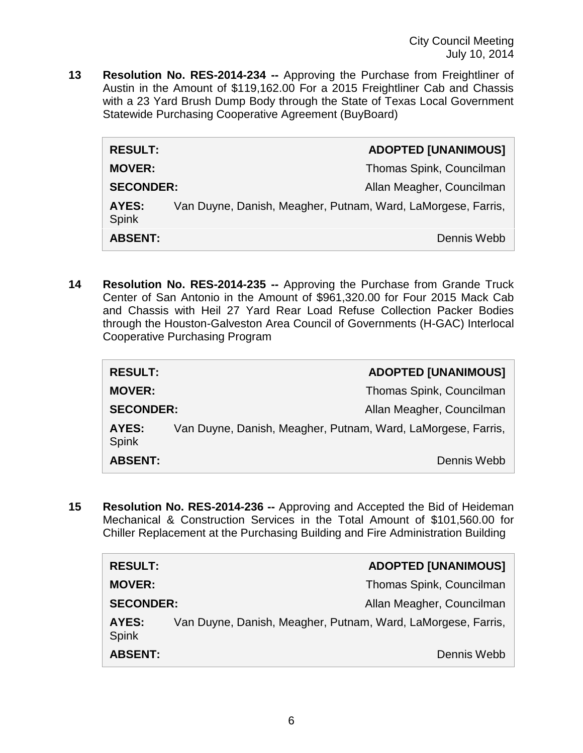City Council Meeting July 10, 2014

**13 Resolution No. RES-2014-234 --** Approving the Purchase from Freightliner of Austin in the Amount of \$119,162.00 For a 2015 Freightliner Cab and Chassis with a 23 Yard Brush Dump Body through the State of Texas Local Government Statewide Purchasing Cooperative Agreement (BuyBoard)

| <b>RESULT:</b>        | <b>ADOPTED [UNANIMOUS]</b>                                   |
|-----------------------|--------------------------------------------------------------|
| <b>MOVER:</b>         | Thomas Spink, Councilman                                     |
| <b>SECONDER:</b>      | Allan Meagher, Councilman                                    |
| AYES:<br><b>Spink</b> | Van Duyne, Danish, Meagher, Putnam, Ward, LaMorgese, Farris, |
| <b>ABSENT:</b>        | Dennis Webb                                                  |

**14 Resolution No. RES-2014-235 --** Approving the Purchase from Grande Truck Center of San Antonio in the Amount of \$961,320.00 for Four 2015 Mack Cab and Chassis with Heil 27 Yard Rear Load Refuse Collection Packer Bodies through the Houston-Galveston Area Council of Governments (H-GAC) Interlocal Cooperative Purchasing Program

| <b>RESULT:</b>        |                                                              | <b>ADOPTED [UNANIMOUS]</b> |
|-----------------------|--------------------------------------------------------------|----------------------------|
| <b>MOVER:</b>         |                                                              | Thomas Spink, Councilman   |
| <b>SECONDER:</b>      |                                                              | Allan Meagher, Councilman  |
| AYES:<br><b>Spink</b> | Van Duyne, Danish, Meagher, Putnam, Ward, LaMorgese, Farris, |                            |
| <b>ABSENT:</b>        |                                                              | Dennis Webb                |

**15 Resolution No. RES-2014-236 --** Approving and Accepted the Bid of Heideman Mechanical & Construction Services in the Total Amount of \$101,560.00 for Chiller Replacement at the Purchasing Building and Fire Administration Building

| <b>RESULT:</b>        | <b>ADOPTED [UNANIMOUS]</b>                                   |
|-----------------------|--------------------------------------------------------------|
| <b>MOVER:</b>         | Thomas Spink, Councilman                                     |
| <b>SECONDER:</b>      | Allan Meagher, Councilman                                    |
| AYES:<br><b>Spink</b> | Van Duyne, Danish, Meagher, Putnam, Ward, LaMorgese, Farris, |
| <b>ABSENT:</b>        | Dennis Webb                                                  |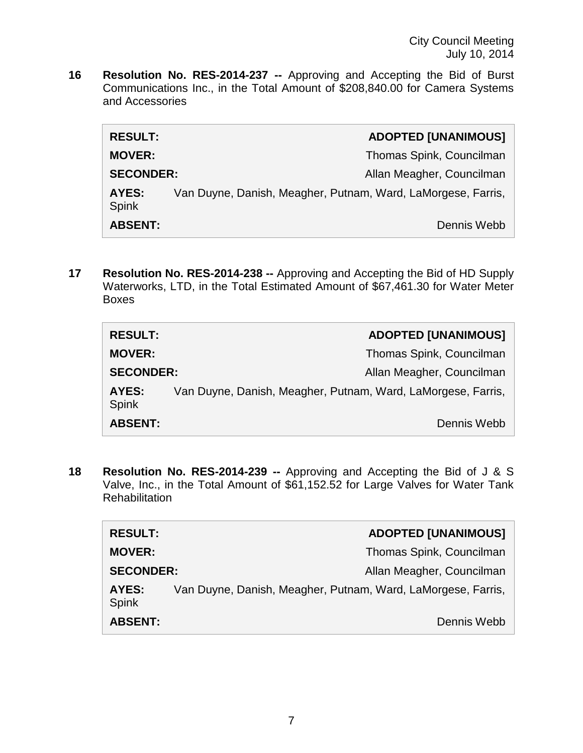**16 Resolution No. RES-2014-237 --** Approving and Accepting the Bid of Burst Communications Inc., in the Total Amount of \$208,840.00 for Camera Systems and Accessories

| <b>RESULT:</b>               |                                                              | <b>ADOPTED [UNANIMOUS]</b> |
|------------------------------|--------------------------------------------------------------|----------------------------|
| <b>MOVER:</b>                |                                                              | Thomas Spink, Councilman   |
| <b>SECONDER:</b>             |                                                              | Allan Meagher, Councilman  |
| <b>AYES:</b><br><b>Spink</b> | Van Duyne, Danish, Meagher, Putnam, Ward, LaMorgese, Farris, |                            |
| <b>ABSENT:</b>               |                                                              | Dennis Webb                |

**17 Resolution No. RES-2014-238 --** Approving and Accepting the Bid of HD Supply Waterworks, LTD, in the Total Estimated Amount of \$67,461.30 for Water Meter Boxes

| <b>RESULT:</b>        | <b>ADOPTED [UNANIMOUS]</b>                                   |
|-----------------------|--------------------------------------------------------------|
| <b>MOVER:</b>         | Thomas Spink, Councilman                                     |
| <b>SECONDER:</b>      | Allan Meagher, Councilman                                    |
| AYES:<br><b>Spink</b> | Van Duyne, Danish, Meagher, Putnam, Ward, LaMorgese, Farris, |
| <b>ABSENT:</b>        | Dennis Webb                                                  |

**18 Resolution No. RES-2014-239 --** Approving and Accepting the Bid of J & S Valve, Inc., in the Total Amount of \$61,152.52 for Large Valves for Water Tank **Rehabilitation** 

| <b>RESULT:</b>        |                                                              | <b>ADOPTED [UNANIMOUS]</b> |
|-----------------------|--------------------------------------------------------------|----------------------------|
| <b>MOVER:</b>         |                                                              | Thomas Spink, Councilman   |
| <b>SECONDER:</b>      |                                                              | Allan Meagher, Councilman  |
| AYES:<br><b>Spink</b> | Van Duyne, Danish, Meagher, Putnam, Ward, LaMorgese, Farris, |                            |
| <b>ABSENT:</b>        |                                                              | Dennis Webb                |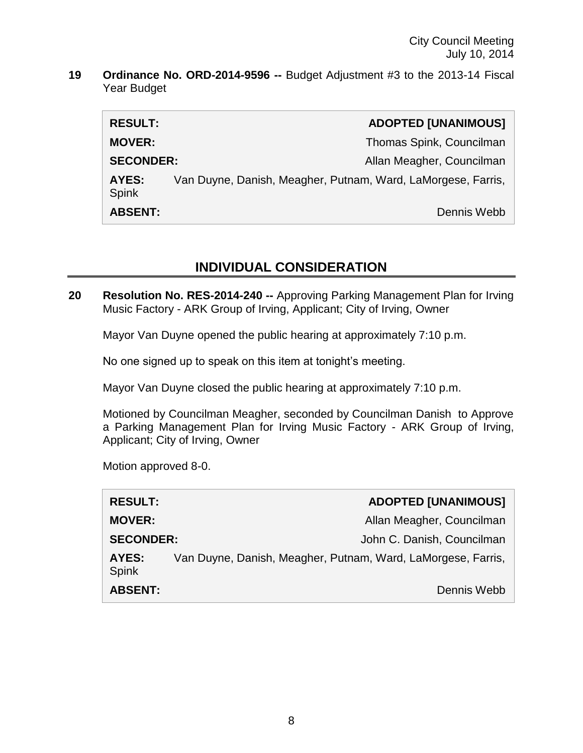City Council Meeting July 10, 2014

**19 Ordinance No. ORD-2014-9596 --** Budget Adjustment #3 to the 2013-14 Fiscal Year Budget

| <b>RESULT:</b>        |                                                              | <b>ADOPTED [UNANIMOUS]</b> |
|-----------------------|--------------------------------------------------------------|----------------------------|
| <b>MOVER:</b>         |                                                              | Thomas Spink, Councilman   |
| <b>SECONDER:</b>      |                                                              | Allan Meagher, Councilman  |
| AYES:<br><b>Spink</b> | Van Duyne, Danish, Meagher, Putnam, Ward, LaMorgese, Farris, |                            |
| <b>ABSENT:</b>        |                                                              | Dennis Webb                |

### **INDIVIDUAL CONSIDERATION**

**20 Resolution No. RES-2014-240 --** Approving Parking Management Plan for Irving Music Factory - ARK Group of Irving, Applicant; City of Irving, Owner

Mayor Van Duyne opened the public hearing at approximately 7:10 p.m.

No one signed up to speak on this item at tonight's meeting.

Mayor Van Duyne closed the public hearing at approximately 7:10 p.m.

Motioned by Councilman Meagher, seconded by Councilman Danish to Approve a Parking Management Plan for Irving Music Factory - ARK Group of Irving, Applicant; City of Irving, Owner

Motion approved 8-0.

| <b>RESULT:</b>        |                                                              | <b>ADOPTED [UNANIMOUS]</b> |
|-----------------------|--------------------------------------------------------------|----------------------------|
| <b>MOVER:</b>         |                                                              | Allan Meagher, Councilman  |
| <b>SECONDER:</b>      |                                                              | John C. Danish, Councilman |
| AYES:<br><b>Spink</b> | Van Duyne, Danish, Meagher, Putnam, Ward, LaMorgese, Farris, |                            |
| <b>ABSENT:</b>        |                                                              | Dennis Webb                |